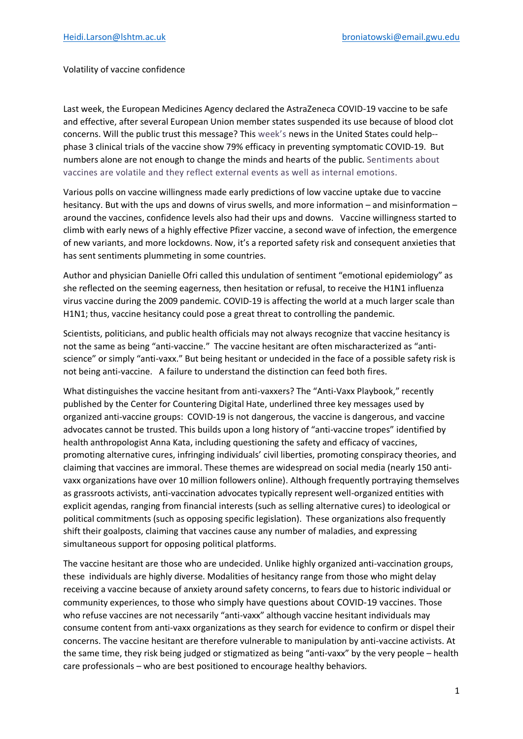## Volatility of vaccine confidence

Last week, the European Medicines Agency declared the AstraZeneca COVID-19 vaccine to be safe and effective, after several European Union member states suspended its use because of blood clot concerns. Will the public trust this message? This week's news in the United States could help- phase 3 clinical trials of the vaccine show 79% efficacy in preventing symptomatic COVID-19. But numbers alone are not enough to change the minds and hearts of the public. Sentiments about vaccines are volatile and they reflect external events as well as internal emotions.

Various polls on vaccine willingness made early predictions of low vaccine uptake due to vaccine hesitancy. But with the ups and downs of virus swells, and more information – and misinformation – around the vaccines, confidence levels also had their ups and downs. Vaccine willingness started to climb with early news of a highly effective Pfizer vaccine, a second wave of infection, the emergence of new variants, and more lockdowns. Now, it's a reported safety risk and consequent anxieties that has sent sentiments plummeting in some countries.

Author and physician Danielle Ofri called this undulation of sentiment "emotional epidemiology" as she reflected on the seeming eagerness, then hesitation or refusal, to receive the H1N1 influenza virus vaccine during the 2009 pandemic. COVID-19 is affecting the world at a much larger scale than H1N1; thus, vaccine hesitancy could pose a great threat to controlling the pandemic.

Scientists, politicians, and public health officials may not always recognize that vaccine hesitancy is not the same as being "anti-vaccine." The vaccine hesitant are often mischaracterized as "antiscience" or simply "anti-vaxx." But being hesitant or undecided in the face of a possible safety risk is not being anti-vaccine. A failure to understand the distinction can feed both fires.

What distinguishes the vaccine hesitant from anti-vaxxers? The "Anti-Vaxx Playbook," recently published by the Center for Countering Digital Hate, underlined three key messages used by organized anti-vaccine groups: COVID-19 is not dangerous, the vaccine is dangerous, and vaccine advocates cannot be trusted. This builds upon a long history of "anti-vaccine tropes" identified by health anthropologist Anna Kata, including questioning the safety and efficacy of vaccines, promoting alternative cures, infringing individuals' civil liberties, promoting conspiracy theories, and claiming that vaccines are immoral. These themes are widespread on social media (nearly 150 antivaxx organizations have over 10 million followers online). Although frequently portraying themselves as grassroots activists, anti-vaccination advocates typically represent well-organized entities with explicit agendas, ranging from financial interests (such as selling alternative cures) to ideological or political commitments (such as opposing specific legislation). These organizations also frequently shift their goalposts, claiming that vaccines cause any number of maladies, and expressing simultaneous support for opposing political platforms.

The vaccine hesitant are those who are undecided. Unlike highly organized anti-vaccination groups, these individuals are highly diverse. Modalities of hesitancy range from those who might delay receiving a vaccine because of anxiety around safety concerns, to fears due to historic individual or community experiences, to those who simply have questions about COVID-19 vaccines. Those who refuse vaccines are not necessarily "anti-vaxx" although vaccine hesitant individuals may consume content from anti-vaxx organizations as they search for evidence to confirm or dispel their concerns. The vaccine hesitant are therefore vulnerable to manipulation by anti-vaccine activists. At the same time, they risk being judged or stigmatized as being "anti-vaxx" by the very people – health care professionals – who are best positioned to encourage healthy behaviors.